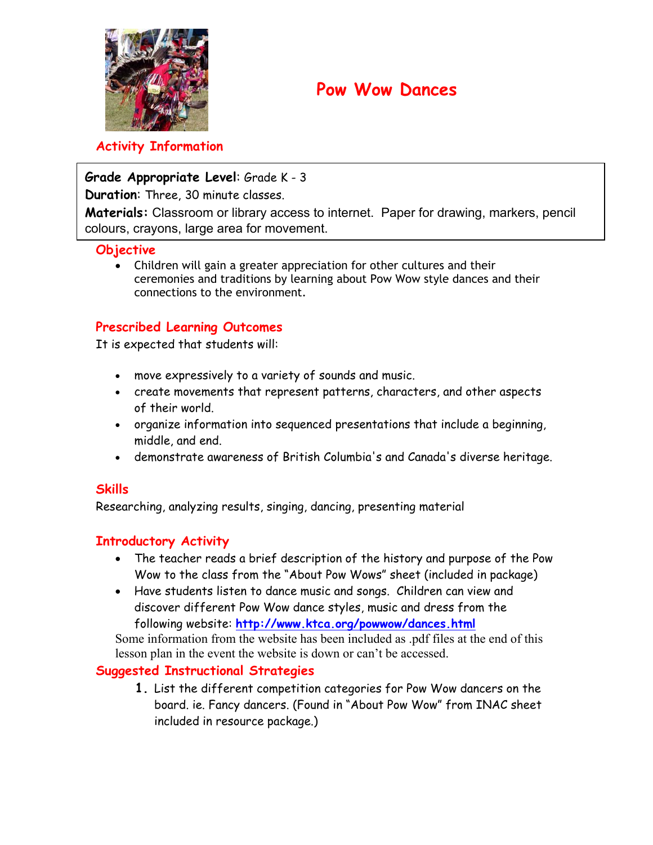

## **Pow Wow Dances**

## **Activity Information**

## **Grade Appropriate Level**: Grade K - 3

**Duration**: Three, 30 minute classes.

**Materials:** Classroom or library access to internet. Paper for drawing, markers, pencil colours, crayons, large area for movement.

## **Objective**

• Children will gain a greater appreciation for other cultures and their ceremonies and traditions by learning about Pow Wow style dances and their connections to the environment.

## **Prescribed Learning Outcomes**

It is expected that students will:

- move expressively to a variety of sounds and music.
- create movements that represent patterns, characters, and other aspects of their world.
- organize information into sequenced presentations that include a beginning, middle, and end.
- demonstrate awareness of British Columbia's and Canada's diverse heritage.

## **Skills**

Researching, analyzing results, singing, dancing, presenting material

## **Introductory Activity**

- The teacher reads a brief description of the history and purpose of the Pow Wow to the class from the "About Pow Wows" sheet (included in package)
- Have students listen to dance music and songs. Children can view and discover different Pow Wow dance styles, music and dress from the following website: **<http://www.ktca.org/powwow/dances.html>**

Some information from the website has been included as .pdf files at the end of this lesson plan in the event the website is down or can't be accessed.

## **Suggested Instructional Strategies**

**1.** List the different competition categories for Pow Wow dancers on the board. ie. Fancy dancers. (Found in "About Pow Wow" from INAC sheet included in resource package.)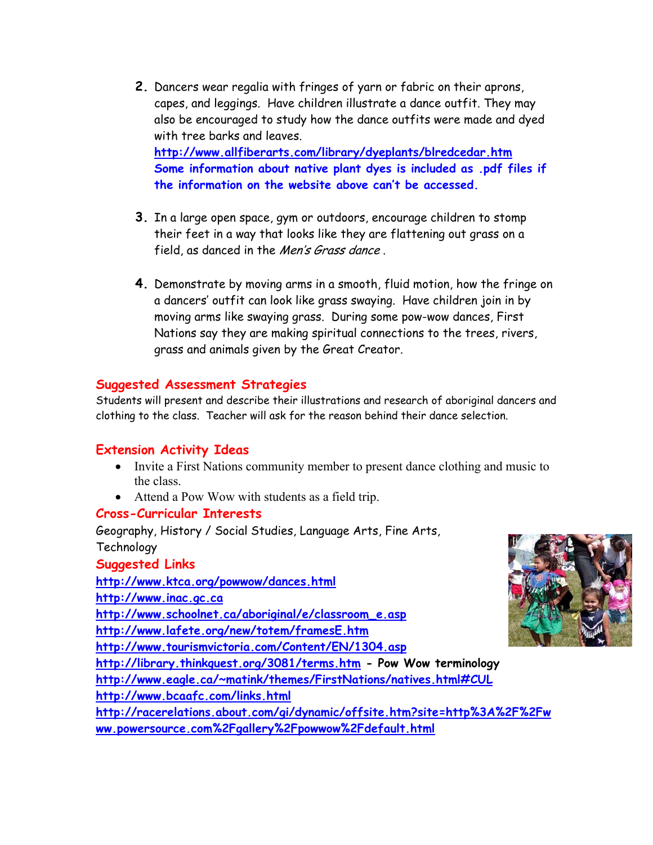- **2.** Dancers wear regalia with fringes of yarn or fabric on their aprons, capes, and leggings. Have children illustrate a dance outfit. They may also be encouraged to study how the dance outfits were made and dyed with tree barks and leaves. **<http://www.allfiberarts.com/library/dyeplants/blredcedar.htm> Some information about native plant dyes is included as .pdf files if the information on the website above can't be accessed.**
- **3.** In a large open space, gym or outdoors, encourage children to stomp their feet in a way that looks like they are flattening out grass on a field, as danced in the *Men's Grass dance*.
- **4.** Demonstrate by moving arms in a smooth, fluid motion, how the fringe on a dancers' outfit can look like grass swaying. Have children join in by moving arms like swaying grass. During some pow-wow dances, First Nations say they are making spiritual connections to the trees, rivers, grass and animals given by the Great Creator.

### **Suggested Assessment Strategies**

Students will present and describe their illustrations and research of aboriginal dancers and clothing to the class. Teacher will ask for the reason behind their dance selection.

## **Extension Activity Ideas**

- Invite a First Nations community member to present dance clothing and music to the class.
- Attend a Pow Wow with students as a field trip.

### **Cross-Curricular Interests**

Geography, History / Social Studies, Language Arts, Fine Arts, **Technology Suggested Links <http://www.ktca.org/powwow/dances.html> <http://www.inac.gc.ca> [http://www.schoolnet.ca/aboriginal/e/classroom\\_e.asp](http://www.schoolnet.ca/aboriginal/e/classroom_e.asp) <http://www.lafete.org/new/totem/framesE.htm> <http://www.tourismvictoria.com/Content/EN/1304.asp> <http://library.thinkquest.org/3081/terms.htm> - Pow Wow terminology <http://www.eagle.ca/~matink/themes/FirstNations/natives.html#CUL> <http://www.bcaafc.com/links.html> <http://racerelations.about.com/gi/dynamic/offsite.htm?site=http%3A%2F%2Fw> ww.powersource.com%2Fgallery%2Fpowwow%2Fdefault.html**

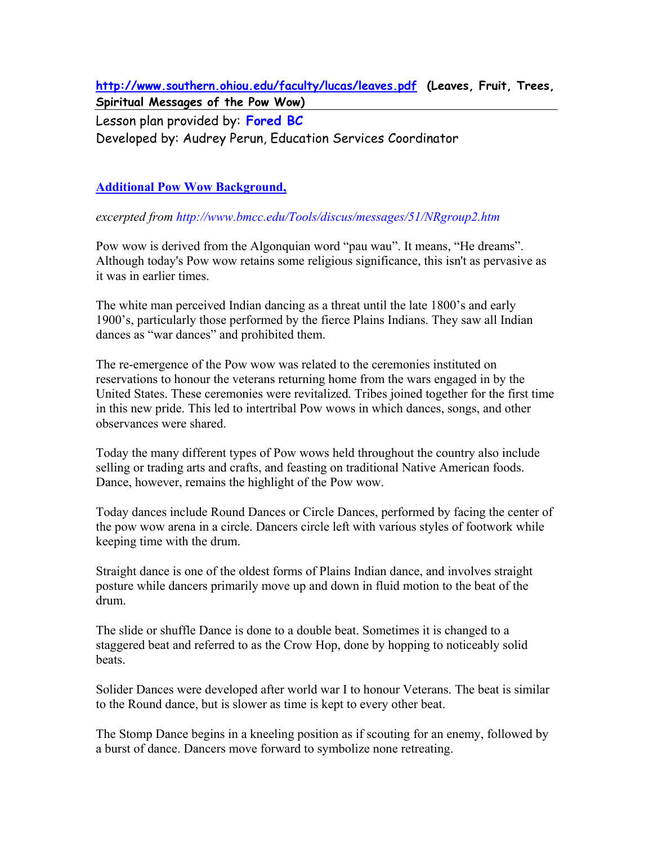**<http://www.southern.ohiou.edu/faculty/lucas/leaves.pdf> (Leaves, Fruit, Trees, Spiritual Messages of the Pow Wow)** 

Lesson plan provided by: **Fored BC**

Developed by: Audrey Perun, Education Services Coordinator

## **Additional Pow Wow Background,**

*excerpted from<http://www.bmcc.edu/Tools/discus/messages/51/NRgroup2.htm>*

Pow wow is derived from the Algonquian word "pau wau". It means, "He dreams". Although today's Pow wow retains some religious significance, this isn't as pervasive as it was in earlier times.

The white man perceived Indian dancing as a threat until the late 1800's and early 1900's, particularly those performed by the fierce Plains Indians. They saw all Indian dances as "war dances" and prohibited them.

The re-emergence of the Pow wow was related to the ceremonies instituted on reservations to honour the veterans returning home from the wars engaged in by the United States. These ceremonies were revitalized. Tribes joined together for the first time in this new pride. This led to intertribal Pow wows in which dances, songs, and other observances were shared.

Today the many different types of Pow wows held throughout the country also include selling or trading arts and crafts, and feasting on traditional Native American foods. Dance, however, remains the highlight of the Pow wow.

Today dances include Round Dances or Circle Dances, performed by facing the center of the pow wow arena in a circle. Dancers circle left with various styles of footwork while keeping time with the drum.

Straight dance is one of the oldest forms of Plains Indian dance, and involves straight posture while dancers primarily move up and down in fluid motion to the beat of the drum.

The slide or shuffle Dance is done to a double beat. Sometimes it is changed to a staggered beat and referred to as the Crow Hop, done by hopping to noticeably solid beats.

Solider Dances were developed after world war I to honour Veterans. The beat is similar to the Round dance, but is slower as time is kept to every other beat.

The Stomp Dance begins in a kneeling position as if scouting for an enemy, followed by a burst of dance. Dancers move forward to symbolize none retreating.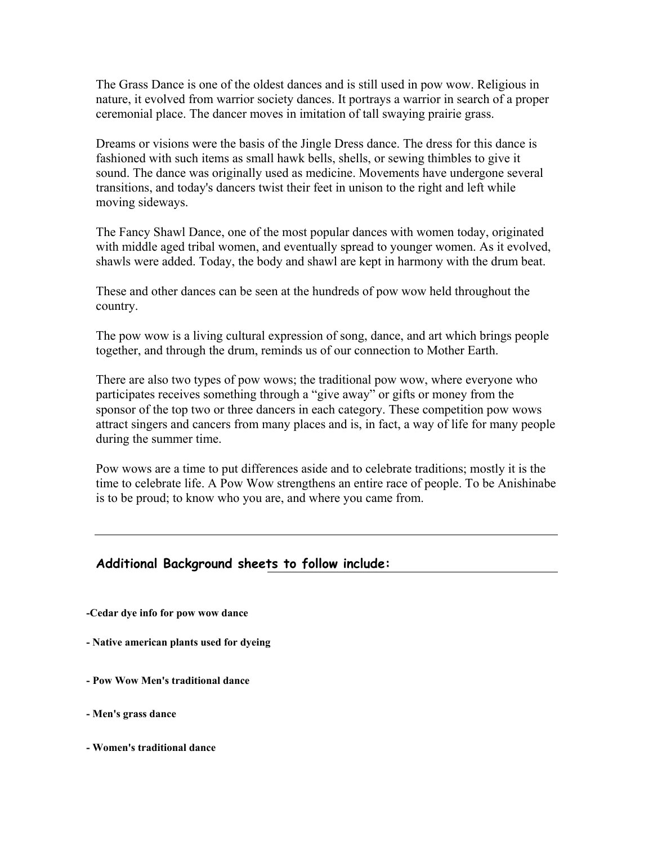The Grass Dance is one of the oldest dances and is still used in pow wow. Religious in nature, it evolved from warrior society dances. It portrays a warrior in search of a proper ceremonial place. The dancer moves in imitation of tall swaying prairie grass.

Dreams or visions were the basis of the Jingle Dress dance. The dress for this dance is fashioned with such items as small hawk bells, shells, or sewing thimbles to give it sound. The dance was originally used as medicine. Movements have undergone several transitions, and today's dancers twist their feet in unison to the right and left while moving sideways.

The Fancy Shawl Dance, one of the most popular dances with women today, originated with middle aged tribal women, and eventually spread to younger women. As it evolved, shawls were added. Today, the body and shawl are kept in harmony with the drum beat.

These and other dances can be seen at the hundreds of pow wow held throughout the country.

The pow wow is a living cultural expression of song, dance, and art which brings people together, and through the drum, reminds us of our connection to Mother Earth.

There are also two types of pow wows; the traditional pow wow, where everyone who participates receives something through a "give away" or gifts or money from the sponsor of the top two or three dancers in each category. These competition pow wows attract singers and cancers from many places and is, in fact, a way of life for many people during the summer time.

Pow wows are a time to put differences aside and to celebrate traditions; mostly it is the time to celebrate life. A Pow Wow strengthens an entire race of people. To be Anishinabe is to be proud; to know who you are, and where you came from.

## **Additional Background sheets to follow include:**

**-Cedar dye info for pow wow dance** 

**- Native american plants used for dyeing** 

- **Pow Wow Men's traditional dance**
- **Men's grass dance**
- **Women's traditional dance**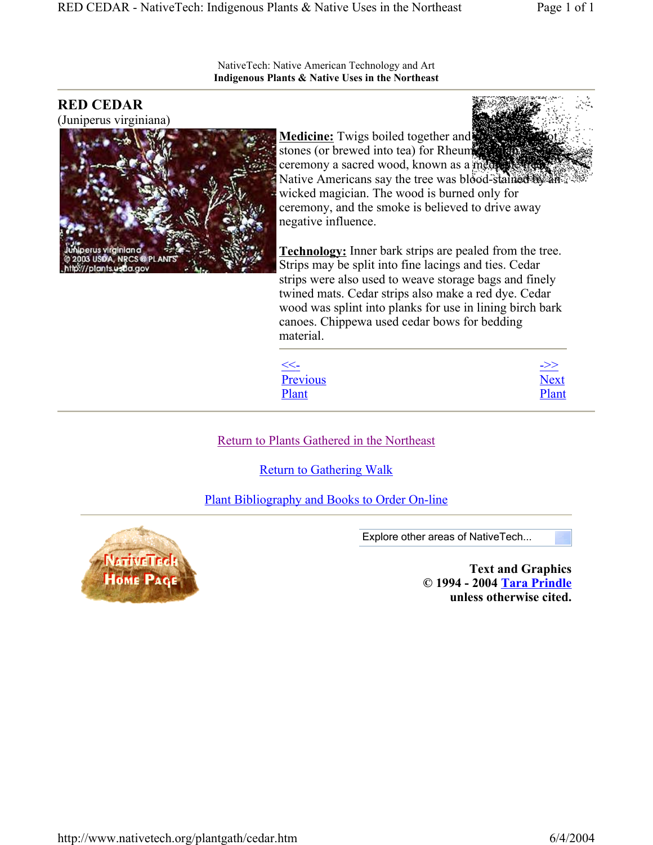NativeTech: Native American Technology and Art **Indigenous Plants & Native Uses in the Northeast**

## **RED CEDAR**

(Juniperus virginiana)



**Medicine:** Twigs boiled together and stones (or brewed into tea) for Rheumatism. ceremony a sacred wood, known as a medi-Native Americans say the tree was blood-stained by an wicked magician. The wood is burned only for ceremony, and the smoke is believed to drive away negative influence.

**Technology:** Inner bark strips are pealed from the tree. Strips may be split into fine lacings and ties. Cedar strips were also used to weave storage bags and finely twined mats. Cedar strips also make a red dye. Cedar wood was splint into planks for use in lining birch bark canoes. Chippewa used cedar bows for bedding material.

| $<<-$    | ->>         |
|----------|-------------|
| Previous | <b>Next</b> |
| Plant    | Plant       |

Return to Plants Gathered in the Northeast

Return to Gathering Walk

Plant Bibliography and Books to Order On-line



Explore other areas of NativeTech...

**Text and Graphics © 1994 - 2004 Tara Prindle unless otherwise cited.**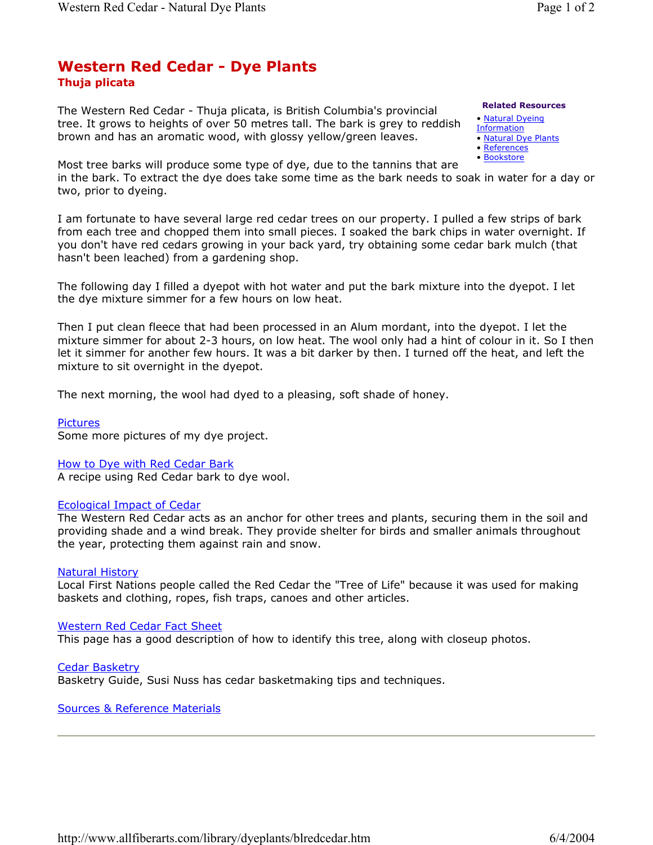## **Thuja plicata Western Red Cedar - Dye Plants**

The Western Red Cedar - Thuja plicata, is British Columbia's provincial tree. It grows to heights of over 50 metres tall. The bark is grey to reddish brown and has an aromatic wood, with glossy yellow/green leaves.

#### **Related Resources**

- Natural Dyeing
- **Information**
- Natural Dye Plants
- References • Bookstore

Most tree barks will produce some type of dye, due to the tannins that are in the bark. To extract the dye does take some time as the bark needs to soak in water for a day or two, prior to dyeing.

I am fortunate to have several large red cedar trees on our property. I pulled a few strips of bark from each tree and chopped them into small pieces. I soaked the bark chips in water overnight. If you don't have red cedars growing in your back yard, try obtaining some cedar bark mulch (that hasn't been leached) from a gardening shop.

The following day I filled a dyepot with hot water and put the bark mixture into the dyepot. I let the dye mixture simmer for a few hours on low heat.

Then I put clean fleece that had been processed in an Alum mordant, into the dyepot. I let the mixture simmer for about 2-3 hours, on low heat. The wool only had a hint of colour in it. So I then let it simmer for another few hours. It was a bit darker by then. I turned off the heat, and left the mixture to sit overnight in the dyepot.

The next morning, the wool had dyed to a pleasing, soft shade of honey.

Pictures

Some more pictures of my dye project.

### How to Dye with Red Cedar Bark

A recipe using Red Cedar bark to dye wool.

### Ecological Impact of Cedar

The Western Red Cedar acts as an anchor for other trees and plants, securing them in the soil and providing shade and a wind break. They provide shelter for birds and smaller animals throughout the year, protecting them against rain and snow.

### Natural History

Local First Nations people called the Red Cedar the "Tree of Life" because it was used for making baskets and clothing, ropes, fish traps, canoes and other articles.

### Western Red Cedar Fact Sheet

This page has a good description of how to identify this tree, along with closeup photos.

Cedar Basketry Basketry Guide, Susi Nuss has cedar basketmaking tips and techniques.

Sources & Reference Materials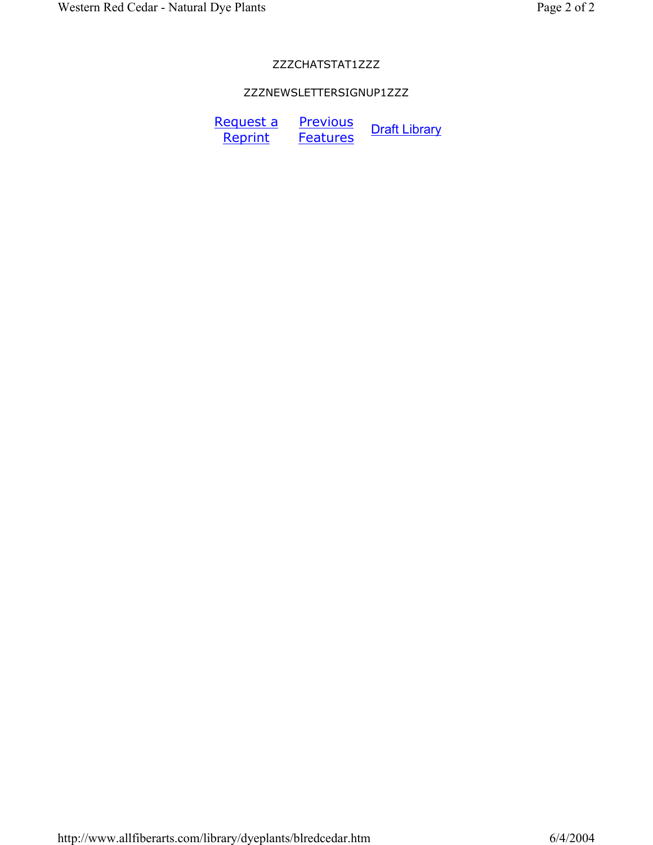### ZZZCHATSTAT1ZZZ

## ZZZNEWSLETTERSIGNUP1ZZZ

Request a **Reprint Previous Frevious** Draft Library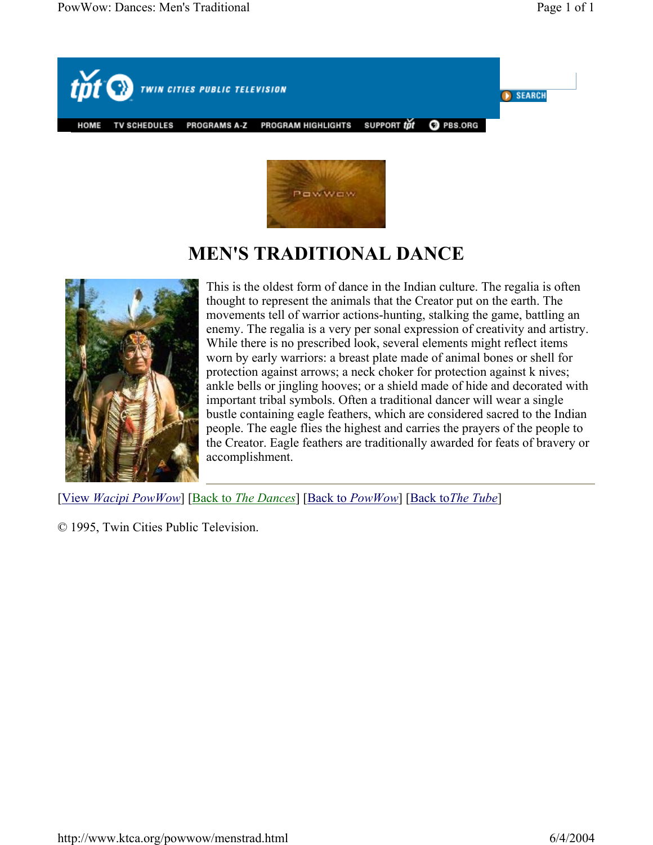



# **MEN'S TRADITIONAL DANCE**



This is the oldest form of dance in the Indian culture. The regalia is often thought to represent the animals that the Creator put on the earth. The movements tell of warrior actions-hunting, stalking the game, battling an enemy. The regalia is a very per sonal expression of creativity and artistry. While there is no prescribed look, several elements might reflect items worn by early warriors: a breast plate made of animal bones or shell for protection against arrows; a neck choker for protection against k nives; ankle bells or jingling hooves; or a shield made of hide and decorated with important tribal symbols. Often a traditional dancer will wear a single bustle containing eagle feathers, which are considered sacred to the Indian people. The eagle flies the highest and carries the prayers of the people to the Creator. Eagle feathers are traditionally awarded for feats of bravery or accomplishment.

[View *Wacipi PowWow*] [Back to *The Dances*] [Back to *PowWow*] [Back to*The Tube*]

© 1995, Twin Cities Public Television.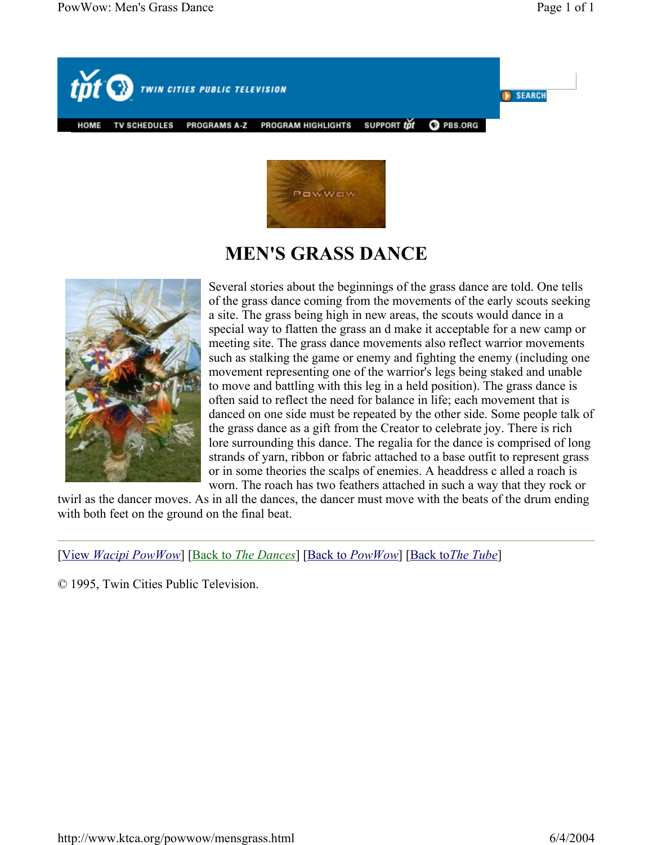



# **MEN'S GRASS DANCE**



Several stories about the beginnings of the grass dance are told. One tells of the grass dance coming from the movements of the early scouts seeking a site. The grass being high in new areas, the scouts would dance in a special way to flatten the grass an d make it acceptable for a new camp or meeting site. The grass dance movements also reflect warrior movements such as stalking the game or enemy and fighting the enemy (including one movement representing one of the warrior's legs being staked and unable to move and battling with this leg in a held position). The grass dance is often said to reflect the need for balance in life; each movement that is danced on one side must be repeated by the other side. Some people talk of the grass dance as a gift from the Creator to celebrate joy. There is rich lore surrounding this dance. The regalia for the dance is comprised of long strands of yarn, ribbon or fabric attached to a base outfit to represent grass or in some theories the scalps of enemies. A headdress c alled a roach is worn. The roach has two feathers attached in such a way that they rock or

twirl as the dancer moves. As in all the dances, the dancer must move with the beats of the drum ending with both feet on the ground on the final beat.

[View *Wacipi PowWow*] [Back to *The Dances*] [Back to *PowWow*] [Back to*The Tube*]

© 1995, Twin Cities Public Television.